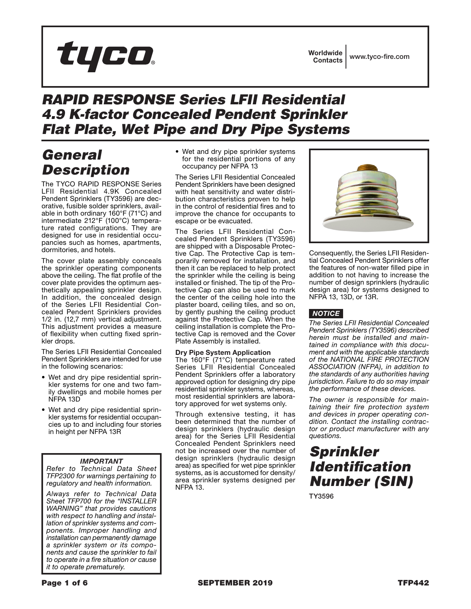# tyco

### *RAPID RESPONSE Series LFII Residential 4.9 K-factor Concealed Pendent Sprinkler Flat Plate, Wet Pipe and Dry Pipe Systems*

# *General Description*

The TYCO RAPID RESPONSE Series LFII Residential 4.9K Concealed Pendent Sprinklers (TY3596) are decorative, fusible solder sprinklers, available in both ordinary 160°F (71°C) and intermediate 212°F (100°C) temperature rated configurations. They are designed for use in residential occupancies such as homes, apartments, dormitories, and hotels.

The cover plate assembly conceals the sprinkler operating components above the ceiling. The flat profile of the cover plate provides the optimum aesthetically appealing sprinkler design. In addition, the concealed design of the Series LFII Residential Concealed Pendent Sprinklers provides 1/2 in. (12,7 mm) vertical adjustment. This adjustment provides a measure of flexibility when cutting fixed sprinkler drops.

The Series LFII Residential Concealed Pendent Sprinklers are intended for use in the following scenarios:

- Wet and dry pipe residential sprinkler systems for one and two family dwellings and mobile homes per NFPA 13D
- Wet and dry pipe residential sprinkler systems for residential occupancies up to and including four stories in height per NFPA 13R

#### *IMPORTANT*

*Refer to Technical Data Sheet TFP2300 for warnings pertaining to regulatory and health information.*

*Always refer to Technical Data Sheet TFP700 for the "INSTALLER WARNING" that provides cautions with respect to handling and installation of sprinkler systems and components. Improper handling and installation can permanently damage a sprinkler system or its components and cause the sprinkler to fail to operate in a fire situation or cause it to operate prematurely.*

• Wet and dry pipe sprinkler systems for the residential portions of any occupancy per NFPA 13

The Series LFII Residential Concealed Pendent Sprinklers have been designed with heat sensitivity and water distribution characteristics proven to help in the control of residential fires and to improve the chance for occupants to escape or be evacuated.

The Series LFII Residential Concealed Pendent Sprinklers (TY3596) are shipped with a Disposable Protective Cap. The Protective Cap is temporarily removed for installation, and then it can be replaced to help protect the sprinkler while the ceiling is being installed or finished. The tip of the Protective Cap can also be used to mark the center of the ceiling hole into the plaster board, ceiling tiles, and so on, by gently pushing the ceiling product against the Protective Cap. When the ceiling installation is complete the Protective Cap is removed and the Cover Plate Assembly is installed.

#### Dry Pipe System Application

The 160°F (71°C) temperature rated Series LFII Residential Concealed Pendent Sprinklers offer a laboratory approved option for designing dry pipe residential sprinkler systems, whereas, most residential sprinklers are laboratory approved for wet systems only.

Through extensive testing, it has been determined that the number of design sprinklers (hydraulic design area) for the Series LFII Residential Concealed Pendent Sprinklers need not be increased over the number of design sprinklers (hydraulic design area) as specified for wet pipe sprinkler systems, as is accustomed for density/ area sprinkler systems designed per NFPA 13.



Consequently, the Series LFII Residential Concealed Pendent Sprinklers offer the features of non-water filled pipe in addition to not having to increase the number of design sprinklers (hydraulic design area) for systems designed to NFPA 13, 13D, or 13R.

#### *NOTICE*

*The Series LFII Residential Concealed Pendent Sprinklers (TY3596) described herein must be installed and maintained in compliance with this document and with the applicable standards of the NATIONAL FIRE PROTECTION ASSOCIATION (NFPA), in addition to the standards of any authorities having jurisdiction. Failure to do so may impair the performance of these devices.*

*The owner is responsible for maintaining their fire protection system and devices in proper operating condition. Contact the installing contractor or product manufacturer with any questions.*

## *Sprinkler Identification Number (SIN)*

TY3596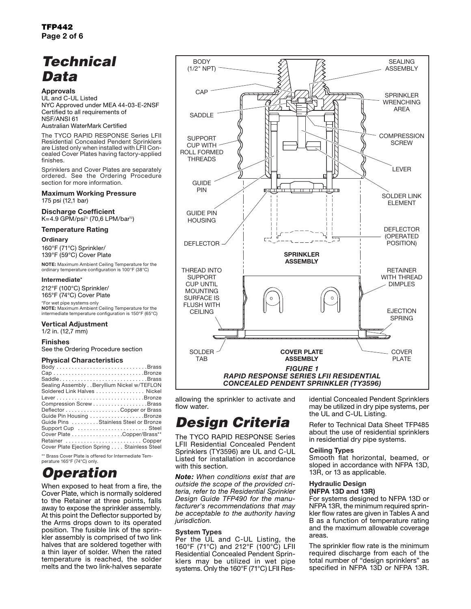# *Technical Data*

#### Approvals

UL and C-UL Listed NYC Approved under MEA 44-03-E-2NSF Certified to all requirements of NSF/ANSI 61

#### Australian WaterMark Certified

The TYCO RAPID RESPONSE Series LFII Residential Concealed Pendent Sprinklers are Listed only when installed with LFII Concealed Cover Plates having factory-applied finishes.

Sprinklers and Cover Plates are separately ordered. See the Ordering Procedure section for more information.

#### Maximum Working Pressure 175 psi (12,1 bar)

Discharge Coefficient K=4.9 GPM/psi½ (70,6 LPM/bar½)

#### Temperature Rating

#### **Ordinary**

160°F (71°C) Sprinkler/ 139°F (59°C) Cover Plate

NOTE: Maximum Ambient Ceiling Temperature for the ordinary temperature configuration is 100°F (38°C)

#### Intermediate\*

212°F (100°C) Sprinkler/ 165°F (74°C) Cover Plate

\*For wet pipe systems only NOTE: Maximum Ambient Ceiling Temperature for the intermediate temperature configuration is 150°F (65°C)

#### Vertical Adjustment

1/2 in. (12,7 mm)

#### Finishes

See the Ordering Procedure section

#### Physical Characteristics

| SaddleBrass                                 |
|---------------------------------------------|
| Sealing Assembly Beryllium Nickel w/TEFLON  |
| Soldered Link Halves Nickel                 |
|                                             |
| Compression ScrewBrass                      |
| Deflector Copper or Brass                   |
| Guide Pin Housing Bronze                    |
| Guide Pins Stainless Steel or Bronze        |
| Support Cup  Steel                          |
| Cover Plate Copper/Brass**                  |
| Retainer  Copper                            |
| Cover Plate Ejection Spring Stainless Steel |

\*\* Brass Cover Plate is offered for Intermediate Temperature 165°F (74°C) only.

# *Operation*

When exposed to heat from a fire, the Cover Plate, which is normally soldered to the Retainer at three points, falls away to expose the sprinkler assembly. At this point the Deflector supported by the Arms drops down to its operated position. The fusible link of the sprinkler assembly is comprised of two link halves that are soldered together with a thin layer of solder. When the rated temperature is reached, the solder melts and the two link-halves separate



allowing the sprinkler to activate and flow water.

# *Design Criteria*

The TYCO RAPID RESPONSE Series LFII Residential Concealed Pendent Sprinklers (TY3596) are UL and C-UL Listed for installation in accordance with this section.

*Note: When conditions exist that are outside the scope of the provided criteria, refer to the Residential Sprinkler Design Guide TFP490 for the manufacturer's recommendations that may be acceptable to the authority having jurisdiction.*

#### System Types

Per the UL and C-UL Listing, the 160°F (71°C) and 212°F (100°C) LFII Residential Concealed Pendent Sprinklers may be utilized in wet pipe systems. Only the 160°F (71°C) LFII Residential Concealed Pendent Sprinklers may be utilized in dry pipe systems, per the UL and C-UL Listing.

Refer to Technical Data Sheet TFP485 about the use of residential sprinklers in residential dry pipe systems.

#### Ceiling Types

Smooth flat horizontal, beamed, or sloped in accordance with NFPA 13D, 13R, or 13 as applicable.

#### Hydraulic Design (NFPA 13D and 13R)

For systems designed to NFPA 13D or NFPA 13R, the minimum required sprinkler flow rates are given in Tables A and B as a function of temperature rating and the maximum allowable coverage areas.

The sprinkler flow rate is the minimum required discharge from each of the total number of "design sprinklers" as specified in NFPA 13D or NFPA 13R.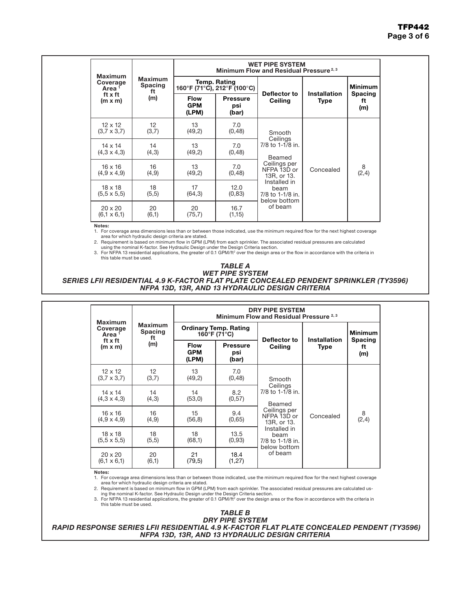|                                                                       |                                        | <b>WET PIPE SYSTEM</b><br>Minimum Flow and Residual Pressure <sup>2,3</sup> |                                             |                                                          |                                    |                             |  |  |  |  |  |  |  |
|-----------------------------------------------------------------------|----------------------------------------|-----------------------------------------------------------------------------|---------------------------------------------|----------------------------------------------------------|------------------------------------|-----------------------------|--|--|--|--|--|--|--|
| <b>Maximum</b><br>Coverage<br>Area <sup>1</sup><br>ft x ft<br>(m x m) | <b>Maximum</b><br><b>Spacing</b><br>ft |                                                                             | Temp. Rating<br>160°F (71°C), 212°F (100°C) |                                                          |                                    | <b>Minimum</b>              |  |  |  |  |  |  |  |
|                                                                       | (m)                                    | <b>Flow</b><br><b>GPM</b><br>(LPM)                                          | <b>Pressure</b><br>psi<br>(bar)             | Deflector to<br>Ceiling                                  | <b>Installation</b><br><b>Type</b> | <b>Spacing</b><br>ft<br>(m) |  |  |  |  |  |  |  |
| $12 \times 12$<br>$(3,7 \times 3,7)$                                  | 12<br>(3,7)                            | 13<br>(49,2)                                                                | 7.0<br>(0, 48)                              | Smooth                                                   |                                    |                             |  |  |  |  |  |  |  |
| $14 \times 14$<br>$(4,3 \times 4,3)$                                  | 14<br>(4,3)                            | 13<br>(49,2)                                                                | 7.0<br>(0, 48)                              | Ceilings<br>7/8 to 1-1/8 in.<br>Beamed                   |                                    |                             |  |  |  |  |  |  |  |
| $16 \times 16$<br>$(4,9 \times 4,9)$                                  | 16<br>(4, 9)                           | 13<br>(49,2)                                                                | 7.0<br>(0, 48)                              | Ceilings per<br>NFPA 13D or<br>13R, or 13.               | Concealed                          | 8<br>(2,4)                  |  |  |  |  |  |  |  |
| $18 \times 18$<br>$(5,5 \times 5,5)$                                  | 18<br>(5,5)                            | 17<br>(64,3)                                                                | 12.0<br>(0, 83)                             | Installed in<br>beam<br>7/8 to 1-1/8 in.<br>below bottom |                                    |                             |  |  |  |  |  |  |  |
| $20 \times 20$<br>$(6, 1 \times 6, 1)$                                | 20<br>(6,1)                            | 20<br>(75,7)                                                                | 16.7<br>(1,15)                              | of beam                                                  |                                    |                             |  |  |  |  |  |  |  |

#### Notes:

1. For coverage area dimensions less than or between those indicated, use the minimum required flow for the next highest coverage area for which hydraulic design criteria are stated. 2. Requirement is based on minimum flow in GPM (LPM) from each sprinkler. The associated residual pressures are calculated

using the nominal K-factor. See Hydraulic Design under the Design Criteria section. 3. For NFPA 13 residential applications, the greater of 0.1 GPM/ft2 over the design area or the flow in accordance with the criteria in

this table must be used.

### *TABLE A*

*WET PIPE SYSTEM SERIES LFII RESIDENTIAL 4.9 K-FACTOR FLAT PLATE CONCEALED PENDENT SPRINKLER (TY3596) NFPA 13D, 13R, AND 13 HYDRAULIC DESIGN CRITERIA*

|                                                 |                                        | <b>DRY PIPE SYSTEM</b><br>Minimum Flow and Residual Pressure 2,3 |                                              |                                                          |                             |                             |  |  |  |  |  |  |  |
|-------------------------------------------------|----------------------------------------|------------------------------------------------------------------|----------------------------------------------|----------------------------------------------------------|-----------------------------|-----------------------------|--|--|--|--|--|--|--|
| <b>Maximum</b><br>Coverage<br>Area <sup>1</sup> | <b>Maximum</b><br><b>Spacing</b><br>ft |                                                                  | <b>Ordinary Temp. Rating</b><br>160°F (71°C) |                                                          |                             | <b>Minimum</b>              |  |  |  |  |  |  |  |
| ft x ft<br>$(m \times m)$                       | (m)                                    | <b>Flow</b><br><b>GPM</b><br>(LPM)                               | <b>Pressure</b><br>psi<br>(bar)              | Deflector to<br>Ceiling                                  | Installation<br><b>Type</b> | <b>Spacing</b><br>ft<br>(m) |  |  |  |  |  |  |  |
| $12 \times 12$<br>$(3.7 \times 3.7)$            | $12 \overline{ }$<br>(3,7)             | 13<br>(49,2)                                                     | 7.0<br>(0, 48)                               | Smooth                                                   |                             |                             |  |  |  |  |  |  |  |
| $14 \times 14$<br>$(4,3 \times 4,3)$            | 14<br>(4,3)                            | 14<br>(53,0)                                                     | 8.2<br>(0,57)                                | Ceilings<br>7/8 to 1-1/8 in.<br>Beamed                   |                             |                             |  |  |  |  |  |  |  |
| $16 \times 16$<br>$(4,9 \times 4,9)$            | 16<br>(4, 9)                           | 15<br>(56, 8)                                                    | 9.4<br>(0,65)                                | Ceilings per<br>NFPA 13D or<br>13R, or 13.               | Concealed                   | 8<br>(2,4)                  |  |  |  |  |  |  |  |
| $18 \times 18$<br>$(5,5 \times 5,5)$            | 18<br>(5,5)                            | 18<br>(68,1)                                                     | 13.5<br>(0, 93)                              | Installed in<br>beam<br>7/8 to 1-1/8 in.<br>below bottom |                             |                             |  |  |  |  |  |  |  |
| $20 \times 20$<br>$(6, 1 \times 6, 1)$          | 20<br>(6,1)                            | 21<br>(79, 5)                                                    | 18.4<br>(1, 27)                              | of beam                                                  |                             |                             |  |  |  |  |  |  |  |

Notes:

1. For coverage area dimensions less than or between those indicated, use the minimum required flow for the next highest coverage area for which hydraulic design criteria are stated.

2. Requirement is based on minimum flow in GPM (LPM) from each sprinkler. The associated residual pressures are calculated us-ing the nominal K-factor. See Hydraulic Design under the Design Criteria section.

3. For NFPA 13 residential applications, the greater of 0.1 GPM/ft<sup>2</sup> over the design area or the flow in accordance with the criteria in this table must be used.



 *RAPID RESPONSE SERIES LFII RESIDENTIAL 4.9 K-FACTOR FLAT PLATE CONCEALED PENDENT (TY3596) NFPA 13D, 13R, AND 13 HYDRAULIC DESIGN CRITERIA*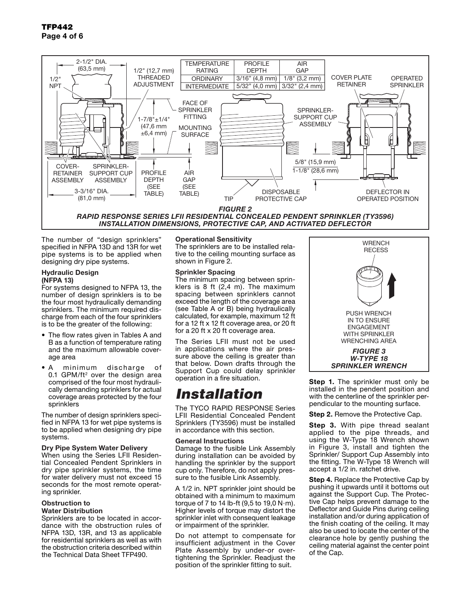

The number of "desian sprinklers" specified in NFPA 13D and 13R for wet pipe systems is to be applied when designing dry pipe systems.

#### Hydraulic Design (NFPA 13)

For systems designed to NFPA 13, the number of design sprinklers is to be the four most hydraulically demanding sprinklers. The minimum required discharge from each of the four sprinklers is to be the greater of the following:

- The flow rates given in Tables A and B as a function of temperature rating and the maximum allowable coverage area
- A minimum discharge of  $0.1$  GPM/ft<sup>2</sup> over the design area comprised of the four most hydraulically demanding sprinklers for actual coverage areas protected by the four sprinklers

The number of design sprinklers specified in NFPA 13 for wet pipe systems is to be applied when designing dry pipe systems.

#### Dry Pipe System Water Delivery

When using the Series LFII Residential Concealed Pendent Sprinklers in dry pipe sprinkler systems, the time for water delivery must not exceed 15 seconds for the most remote operating sprinkler.

#### Obstruction to

#### Water Distribution

Sprinklers are to be located in accordance with the obstruction rules of NFPA 13D, 13R, and 13 as applicable for residential sprinklers as well as with the obstruction criteria described within the Technical Data Sheet TFP490.

#### Operational Sensitivity

The sprinklers are to be installed relative to the ceiling mounting surface as shown in Figure 2.

#### Sprinkler Spacing

The minimum spacing between sprinklers is  $8$  ft  $(2,4 \, \text{m})$ . The maximum spacing between sprinklers cannot exceed the length of the coverage area (see Table A or B) being hydraulically calculated, for example, maximum 12 ft for a 12 ft x 12 ft coverage area, or 20 ft for a 20 ft x 20 ft coverage area.

The Series LFII must not be used in applications where the air pressure above the ceiling is greater than that below. Down drafts through the Support Cup could delay sprinkler operation in a fire situation.

### *Installation*

The TYCO RAPID RESPONSE Series LFII Residential Concealed Pendent Sprinklers (TY3596) must be installed in accordance with this section.

#### General Instructions

Damage to the fusible Link Assembly during installation can be avoided by handling the sprinkler by the support cup only. Therefore, do not apply pressure to the fusible Link Assembly.

A 1/2 in. NPT sprinkler joint should be obtained with a minimum to maximum torque of 7 to 14 lb-ft  $(9.5$  to 19,0 N $\cdot$ m). Higher levels of torque may distort the sprinkler inlet with consequent leakage or impairment of the sprinkler.

Do not attempt to compensate for insufficient adjustment in the Cover Plate Assembly by under-or overtightening the Sprinkler. Readjust the position of the sprinkler fitting to suit.



Step 1. The sprinkler must only be installed in the pendent position and with the centerline of the sprinkler perpendicular to the mounting surface.

Step 2. Remove the Protective Cap.

Step 3. With pipe thread sealant applied to the pipe threads, and using the W-Type 18 Wrench shown in Figure 3, install and tighten the Sprinkler/ Support Cup Assembly into the fitting. The W-Type 18 Wrench will accept a 1/2 in. ratchet drive.

**Step 4.** Replace the Protective Cap by pushing it upwards until it bottoms out against the Support Cup. The Protective Cap helps prevent damage to the Deflector and Guide Pins during ceiling installation and/or during application of the finish coating of the ceiling. It may also be used to locate the center of the clearance hole by gently pushing the ceiling material against the center point of the Cap.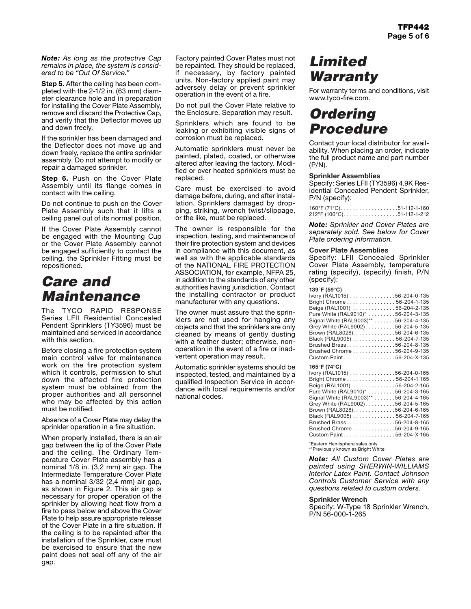*Note: As long as the protective Cap remains in place, the system is considered to be "Out Of Service."*

Step 5. After the ceiling has been completed with the 2-1/2 in. (63 mm) diameter clearance hole and in preparation for installing the Cover Plate Assembly, remove and discard the Protective Cap, and verify that the Deflector moves up and down freely.

If the sprinkler has been damaged and the Deflector does not move up and down freely, replace the entire sprinkler assembly. Do not attempt to modify or repair a damaged sprinkler.

Step 6. Push on the Cover Plate Assembly until its flange comes in contact with the ceiling.

Do not continue to push on the Cover Plate Assembly such that it lifts a ceiling panel out of its normal position.

If the Cover Plate Assembly cannot be engaged with the Mounting Cup or the Cover Plate Assembly cannot be engaged sufficiently to contact the ceiling, the Sprinkler Fitting must be repositioned.

### *Care and Maintenance*

The TYCO RAPID RESPONSE Series LFII Residential Concealed Pendent Sprinklers (TY3596) must be maintained and serviced in accordance with this section

Before closing a fire protection system main control valve for maintenance work on the fire protection system which it controls, permission to shut down the affected fire protection system must be obtained from the proper authorities and all personnel who may be affected by this action must be notified.

Absence of a Cover Plate may delay the sprinkler operation in a fire situation.

When properly installed, there is an air gap between the lip of the Cover Plate and the ceiling. The Ordinary Temperature Cover Plate assembly has a nominal 1/8 in. (3,2 mm) air gap. The Intermediate Temperature Cover Plate has a nominal 3/32 (2,4 mm) air gap, as shown in Figure 2. This air gap is necessary for proper operation of the sprinkler by allowing heat flow from a fire to pass below and above the Cover Plate to help assure appropriate release of the Cover Plate in a fire situation. If the ceiling is to be repainted after the installation of the Sprinkler, care must be exercised to ensure that the new paint does not seal off any of the air gap.

Factory painted Cover Plates must not be repainted. They should be replaced, if necessary, by factory painted units. Non-factory applied paint may adversely delay or prevent sprinkler operation in the event of a fire.

Do not pull the Cover Plate relative to the Enclosure. Separation may result.

Sprinklers which are found to be leaking or exhibiting visible signs of corrosion must be replaced.

Automatic sprinklers must never be painted, plated, coated, or otherwise altered after leaving the factory. Modified or over heated sprinklers must be replaced.

Care must be exercised to avoid damage before, during, and after installation. Sprinklers damaged by dropping, striking, wrench twist/slippage, or the like, must be replaced.

The owner is responsible for the inspection, testing, and maintenance of their fire protection system and devices in compliance with this document, as well as with the applicable standards of the NATIONAL FIRE PROTECTION ASSOCIATION, for example, NFPA 25, in addition to the standards of any other authorities having jurisdiction. Contact the installing contractor or product manufacturer with any questions.

The owner must assure that the sprinklers are not used for hanging any objects and that the sprinklers are only cleaned by means of gently dusting with a feather duster; otherwise, nonoperation in the event of a fire or inadvertent operation may result.

Automatic sprinkler systems should be inspected, tested, and maintained by a qualified Inspection Service in accordance with local requirements and/or national codes.

# *Limited Warranty*

For warranty terms and conditions, visit www.tyco-fire.com.

## *Ordering Procedure*

Contact your local distributor for availability. When placing an order, indicate the full product name and part number (P/N).

#### Sprinkler Assemblies

Specify: Series LFII (TY3596) 4.9K Residential Concealed Pendent Sprinkler, P/N (specify):

|  |  |  |  |  |  |  |  |  | 160°F (71°C)51-112-1-160                       |
|--|--|--|--|--|--|--|--|--|------------------------------------------------|
|  |  |  |  |  |  |  |  |  | $212^{\circ}$ F (100 $^{\circ}$ C)51-112-1-212 |

*Note: Sprinkler and Cover Plates are separately sold. See below for Cover Plate ordering information.*

#### Cover Plate Assemblies

Specify: LFII Concealed Sprinkler Cover Plate Assembly, temperature rating (specify), (specify) finish, P/N (specify):

#### **139**°**F (59**°**C)**

| Ivory (RAL1015) 56-204-0-135          |
|---------------------------------------|
| Bright Chrome 56-204-1-135            |
| Beige (RAL1001) 56-204-2-135          |
| Pure White (RAL9010)* 56-204-3-135    |
| Signal White (RAL9003)** 56-204-4-135 |
| Grey White (RAL9002). 56-204-5-135    |
| Brown (RAL8028). 56-204-6-135         |
| Black (RAL9005) 56-204-7-135          |
| Brushed Brass56-204-8-135             |
| Brushed Chrome 56-204-9-135           |
| Custom Paint 56-204-X-135             |
| 165°F (74°C)                          |

| .                                                                 |  |
|-------------------------------------------------------------------|--|
| Ivory (RAL1015) $\ldots \ldots \ldots \ldots \ldots$ 56-204-0-165 |  |
| Bright Chrome 56-204-1 165                                        |  |
| Beige (RAL1001) 56-204-2-165                                      |  |
| Pure White (RAL9010)* 56-204-3-165                                |  |
| Signal White (RAL9003)** 56-204-4-165                             |  |
| Grey White (RAL9002). 56-204-5-165                                |  |
| Brown (RAL8028). 56-204-6-165                                     |  |
| Black (RAL9005) 56-204-7-165                                      |  |
| Brushed Brass56-204-8-165                                         |  |
| Brushed Chrome 56-204-9-165                                       |  |
| Custom Paint 56-204-X-165                                         |  |
|                                                                   |  |

\*Eastern Hemisphere sales only \*\*Previously known as Bright White

*Note: All Custom Cover Plates are* 

*painted using SHERWIN-WILLIAMS Interior Latex Paint. Contact Johnson Controls Customer Service with any questions related to custom orders.*

#### Sprinkler Wrench

Specify: W-Type 18 Sprinkler Wrench, P/N 56-000-1-265